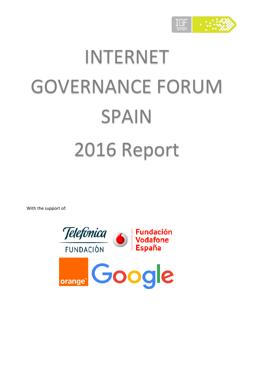

# INTERNET GOVERNANCE FORUM SPAIN 2016 Report

With the support of:

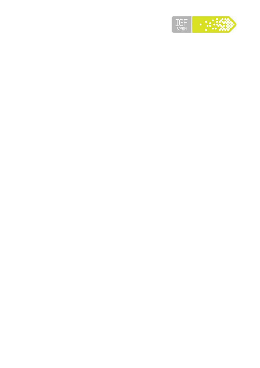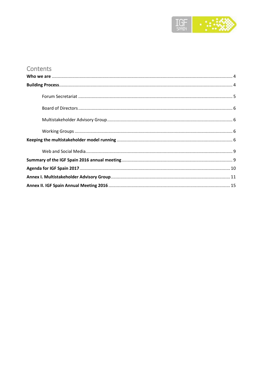

# Contents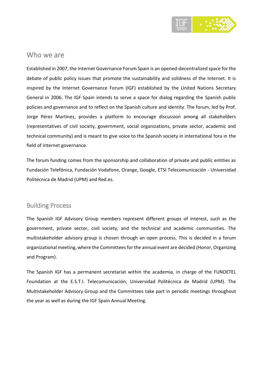

# <span id="page-3-0"></span>Who we are

Established in 2007, the Internet Governance Forum Spain is an opened-decentralized space for the debate of public policy issues that promote the sustainability and solidness of the Internet. It is inspired by the Internet Governance Forum (IGF) established by the United Nations Secretary General in 2006. The IGF Spain intends to serve a space for dialog regarding the Spanish public policies and governance and to reflect on the Spanish culture and identity. The forum, led by Prof. Jorge Pérez Martínez, provides a platform to encourage discussion among all stakeholders (representatives of civil society, government, social organizations, private sector, academic and technical community) and is meant to give voice to the Spanish society in international fora in the field of internet governance.

The forum funding comes from the sponsorship and collaboration of private and public entities as Fundación Telefónica, Fundación Vodafone, Orange, Google, ETSI Telecomunicación - Universidad Politécnica de Madrid (UPM) and Red.es.

## <span id="page-3-1"></span>Building Process

The Spanish IGF Advisory Group members represent different groups of interest, such as the government, private sector, civil society, and the technical and academic communities. The multistakeholder advisory group is chosen through an open process. This is decided in a forum organizational meeting, where the Committeesfor the annual event are decided (Honor, Organizing and Program).

The Spanish IGF has a permanent secretariat within the academia, in charge of the FUNDETEL Foundation at the E.S.T.I. Telecomunicación, Universidad Politécnica de Madrid (UPM). The Multistakeholder Advisory Group and the Committees take part in periodic meetings throughout the year as well as during the IGF Spain Annual Meeting.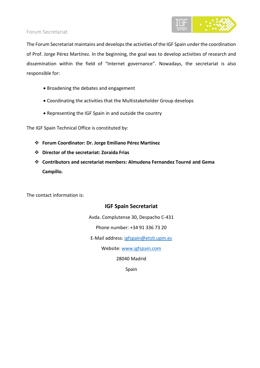

## <span id="page-4-0"></span>Forum Secretariat

The Forum Secretariat maintains and develops the activities of the IGF Spain under the coordination of Prof. Jorge Pérez Martínez. In the beginning, the goal was to develop activities of research and dissemination within the field of "Internet governance". Nowadays, the secretariat is also responsible for:

- Broadening the debates and engagement
- Coordinating the activities that the Multistakeholder Group develops
- Representing the IGF Spain in and outside the country

The IGF Spain Technical Office is constituted by:

- **Forum Coordinator: Dr. Jorge Emiliano Pérez Martínez**
- **Director of the secretariat: Zoraida Frias**
- **Contributors and secretariat members: Almudena Fernandez Tourné and Gema Campillo.**

The contact information is:

## **IGF Spain Secretariat**

Avda. Complutense 30, Despacho C-431

Phone number: +34 91 336 73 20

E-Mail address: [igfspain@etsit.upm.es](mailto:igfspain@etsit.upm.es)

Website: [www.igfspain.com](http://www.igfspain.com/)

28040 Madrid

Spain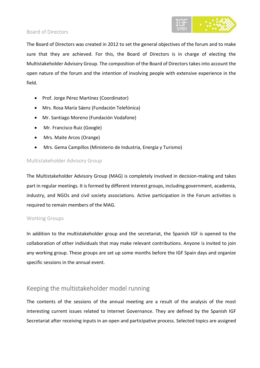## <span id="page-5-0"></span>Board of Directors



The Board of Directors was created in 2012 to set the general objectives of the forum and to make sure that they are achieved. For this, the Board of Directors is in charge of electing the Multistakeholder Advisory Group. The composition of the Board of Directors takes into account the open nature of the forum and the intention of involving people with extensive experience in the field.

- Prof. Jorge Pérez Martínez (Coordinator)
- Mrs. Rosa María Sáenz (Fundación Telefónica)
- Mr. Santiago Moreno (Fundación Vodafone)
- Mr. Francisco Ruiz (Google)
- Mrs. Maite Arcos (Orange)
- Mrs. Gema Campillos (Ministerio de Industria, Energía y Turismo)

## <span id="page-5-1"></span>Multistakeholder Advisory Group

The Multistakeholder Advisory Group (MAG) is completely involved in decision-making and takes part in regular meetings. It is formed by different interest groups, including government, academia, industry, and NGOs and civil society associations. Active participation in the Forum activities is required to remain members of the MAG.

### <span id="page-5-2"></span>Working Groups

In addition to the multistakeholder group and the secretariat, the Spanish IGF is opened to the collaboration of other individuals that may make relevant contributions. Anyone is invited to join any working group. These groups are set up some months before the IGF Spain days and organize specific sessions in the annual event.

## <span id="page-5-3"></span>Keeping the multistakeholder model running

The contents of the sessions of the annual meeting are a result of the analysis of the most interesting current issues related to Internet Governance. They are defined by the Spanish IGF Secretariat after receiving inputs in an open and participative process. Selected topics are assigned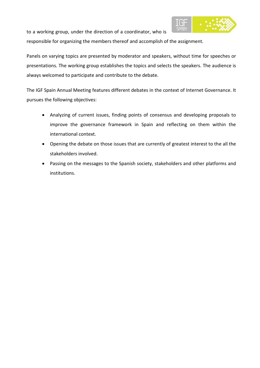to a working group, under the direction of a coordinator, who is



responsible for organizing the members thereof and accomplish of the assignment.

Panels on varying topics are presented by moderator and speakers, without time for speeches or presentations. The working group establishes the topics and selects the speakers. The audience is always welcomed to participate and contribute to the debate.

The IGF Spain Annual Meeting features different debates in the context of Internet Governance. It pursues the following objectives:

- Analyzing of current issues, finding points of consensus and developing proposals to improve the governance framework in Spain and reflecting on them within the international context.
- Opening the debate on those issues that are currently of greatest interest to the all the stakeholders involved.
- Passing on the messages to the Spanish society, stakeholders and other platforms and institutions.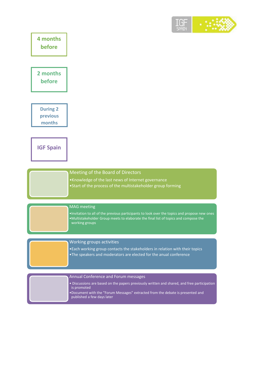

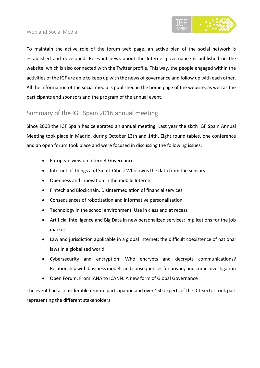## <span id="page-8-0"></span>Web and Social Media



To maintain the active role of the forum web page, an active plan of the social network is established and developed. Relevant news about the Internet governance is published on the website, which is also connected with the Twitter profile. This way, the people engaged within the activities of the IGF are able to keep up with the news of governance and follow up with each other. All the information of the social media is published in the home page of the website, as well as the participants and sponsors and the program of the annual event.

## <span id="page-8-1"></span>Summary of the IGF Spain 2016 annual meeting

Since 2008 the IGF Spain has celebrated an annual meeting. Last year the sixth IGF Spain Annual Meeting took place in Madrid, during October 13th and 14th. Eight round tables, one conference and an open forum took place and were focused in discussing the following issues:

- **•** European view on Internet Governance
- Internet of Things and Smart Cities: Who owns the data from the sensors
- Openness and innovation in the mobile Internet
- Fintech and Blockchain. Disintermediation of financial services
- Consequences of robotization and informative personalization
- Technology in the school environment. Use in class and at recess
- Artificial Intelligence and Big Data in new personalized services: Implications for the job market
- Law and jurisdiction applicable in a global Internet: the difficult coexistence of national laws in a globalized world
- Cybersecurity and encryption: Who encrypts and decrypts communications? Relationship with business models and consequences for privacy and crime investigation
- Open Forum. From IANA to ICANN: A new form of Global Governance

The event had a considerable remote participation and over 150 experts of the ICT sector took part representing the different stakeholders.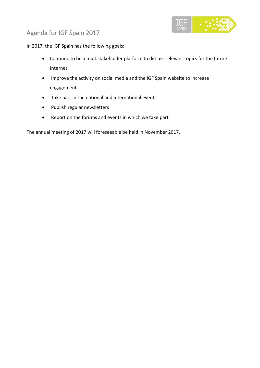# <span id="page-9-0"></span>Agenda for IGF Spain 2017



In 2017, the IGF Spain has the following goals:

- Continue to be a multistakeholder platform to discuss relevant topics for the future Internet
- Improve the activity on social media and the IGF Spain website to increase engagement
- Take part in the national and international events
- Publish regular newsletters
- Report on the forums and events in which we take part

The annual meeting of 2017 will foreseeable be held in November 2017.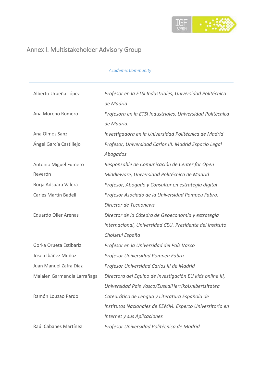

# <span id="page-10-0"></span>Annex I. Multistakeholder Advisory Group

 $\overline{a}$ 

| <b>Academic Community</b>   |                                                                          |  |
|-----------------------------|--------------------------------------------------------------------------|--|
| Alberto Urueña López        | Profesor en la ETSI Industriales, Universidad Politécnica<br>de Madrid   |  |
| Ana Moreno Romero           | Profesora en la ETSI Industriales, Universidad Politécnica<br>de Madrid. |  |
| Ana Olmos Sanz              | Investigadora en la Universidad Politécnica de Madrid                    |  |
| Ángel García Castillejo     | Profesor, Universidad Carlos III. Madrid Espacio Legal                   |  |
|                             | Abogados                                                                 |  |
| Antonio Miguel Fumero       | Responsable de Comunicación de Center for Open                           |  |
| Reverón                     | Middleware, Universidad Politécnica de Madrid                            |  |
| Borja Adsuara Valera        | Profesor, Abogado y Consultor en estrategia digital                      |  |
| Carles Martín Badell        | Profesor Asociado de la Universidad Pompeu Fabra.                        |  |
|                             | Director de Tecnonews                                                    |  |
| <b>Eduardo Olier Arenas</b> | Director de la Cátedra de Geoeconomía y estrategia                       |  |
|                             | internacional, Universidad CEU. Presidente del Instituto                 |  |
|                             | Choiseul España                                                          |  |
| Gorka Orueta Estibariz      | Profesor en la Universidad del País Vasco                                |  |
| Josep Ibáñez Muñoz          | Profesor Universidad Pompeu Fabra                                        |  |
| Juan Manuel Zafra Díaz      | Profesor Universidad Carlos III de Madrid                                |  |
| Maialen Garmendia Larrañaga | Directora del Equipo de Investigación EU kids online III,                |  |
|                             | Universidad País Vasco/EuskalHerrikoUnibertsitatea                       |  |
| Ramón Louzao Pardo          | Catedrático de Lengua y Literatura Española de                           |  |
|                             | Institutos Nacionales de EEMM. Experto Universitario en                  |  |
|                             | Internet y sus Aplicaciones                                              |  |
| Raúl Cabanes Martínez       | Profesor Universidad Politécnica de Madrid                               |  |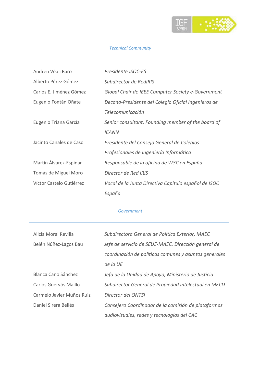

## *Technical Community*

| Presidente ISOC-ES                                   |
|------------------------------------------------------|
| Subdirector de RedIRIS                               |
| Global Chair de IEEE Computer Society e-Government   |
| Decano-Presidente del Colegio Oficial Ingenieros de  |
| <b>Telecomunicación</b>                              |
| Senior consultant. Founding member of the board of   |
| <b>ICANN</b>                                         |
| Presidente del Consejo General de Colegios           |
| Profesionales de Ingeniería Informática              |
| Responsable de la oficina de W3C en España           |
| Director de Red IRIS                                 |
| Vocal de la Junta Directiva Capítulo español de ISOC |
| España                                               |
|                                                      |

*Government*

| Alicia Moral Revilla      | Subdirectora General de Política Exterior, MAEC       |
|---------------------------|-------------------------------------------------------|
| Belén Núñez-Lagos Bau     | Jefe de servicio de SEUE-MAEC. Dirección general de   |
|                           | coordinación de políticas comunes y asuntos generales |
|                           | de la UE                                              |
| Blanca Cano Sánchez       | Jefa de la Unidad de Apoyo, Ministerio de Justicia    |
| Carlos Guervós Maíllo     | Subdirector General de Propiedad Intelectual en MECD  |
| Carmelo Javier Muñoz Ruiz | Director del ONTSI                                    |
| Daniel Sirera Bellés      | Consejero Coordinador de la comisión de plataformas   |
|                           | audiovisuales, redes y tecnologías del CAC            |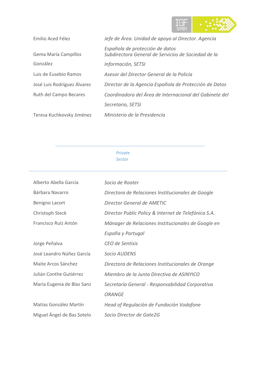

| Emilio Aced Félez           | Jefe de Área. Unidad de apoyo al Director. Agencia                                     |
|-----------------------------|----------------------------------------------------------------------------------------|
| Gema María Campillos        | Española de protección de datos<br>Subdirectora General de Servicios de Sociedad de la |
| González                    | Información, SETSI                                                                     |
| Luis de Eusebio Ramos       | Asesor del Director General de la Policía                                              |
| José Luis Rodríguez Álvarez | Director de la Agencia Española de Protección de Datos                                 |
| Ruth del Campo Becares      | Coordinadora del Área de Internacional del Gabinete del                                |
|                             | Secretario, SETSI                                                                      |
| Teresa Kuchkovsky Jiménez   | Ministerio de la Presidencia                                                           |
|                             |                                                                                        |

*Private Sector*

| Alberto Abella García      | Socio de Rooter                                      |
|----------------------------|------------------------------------------------------|
| Bárbara Navarro            | Directora de Relaciones Institucionales de Google    |
| Benigno Lacort             | Director General de AMETIC                           |
| Christoph Steck            | Director Public Policy & Internet de Telefónica S.A. |
| Francisco Ruíz Antón       | Mánager de Relaciones Institucionales de Google en   |
|                            | España y Portugal                                    |
| Jorge Peñalva              | <b>CEO</b> de Sentisis                               |
| José Leandro Núñez García  | <b>Socio AUDENS</b>                                  |
| Maite Arcos Sánchez        | Directora de Relaciones Institucionales de Orange    |
| Julián Conthe Gutiérrez    | Miembro de la Junta Directiva de ASINYICO            |
| María Eugenia de Blas Sanz | Secretaría General - Responsabilidad Corporativa     |
|                            | <b>ORANGE</b>                                        |
| Matías González Martín     | Head of Regulación de Fundación Vodafone             |
| Miguel Ángel de Bas Sotelo | Socio Director de Gate2G                             |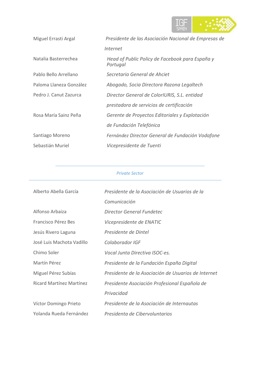

| Miguel Errasti Argal    | Presidente de las Asociación Nacional de Empresas de        |
|-------------------------|-------------------------------------------------------------|
|                         | <i>Internet</i>                                             |
| Natalia Basterrechea    | Head of Public Policy de Facebook para España y<br>Portugal |
| Pablo Bello Arrellano   | Secretario General de Ahciet                                |
| Paloma Llaneza González | Abogado, Socia Directora Razona Legaltech                   |
| Pedro J. Canut Zazurca  | Director General de ColorIURIS, S.L. entidad                |
|                         | prestadora de servicios de certificación                    |
| Rosa María Sainz Peña   | Gerente de Proyectos Editoriales y Explotación              |
|                         | de Fundación Telefónica                                     |
| Santiago Moreno         | Fernández Director General de Fundación Vodafone            |
| Sebastián Muriel        | Vicepresidente de Tuenti                                    |

#### *Private Sector*

| Alberto Abella García           | Presidente de la Asociación de Usuarios de la       |
|---------------------------------|-----------------------------------------------------|
|                                 | Comunicación                                        |
| Alfonso Arbaiza                 | Director General Fundetec                           |
| Francisco Pérez Bes             | Vicepresidente de ENATIC                            |
| Jesús Rivero Laguna             | Presidente de Dintel                                |
| José Luis Machota Vadillo       | Colaborador IGF                                     |
| Chimo Soler                     | Vocal Junta Directiva ISOC-es.                      |
| Martín Pérez                    | Presidente de la Fundación España Digital           |
| Miguel Pérez Subías             | Presidente de la Asociación de Usuarios de Internet |
| <b>Ricard Martínez Martínez</b> | Presidente Asociación Profesional Española de       |
|                                 | Privacidad                                          |
| Víctor Domingo Prieto           | Presidente de la Asociación de Internautas          |
| Yolanda Rueda Fernández         | Presidenta de Cibervoluntarios                      |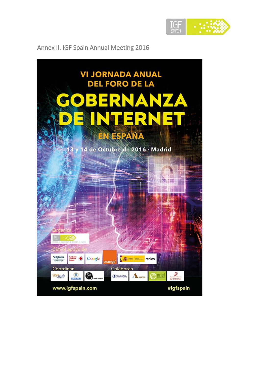

<span id="page-14-0"></span>Annex II. IGF Spain Annual Meeting 2016

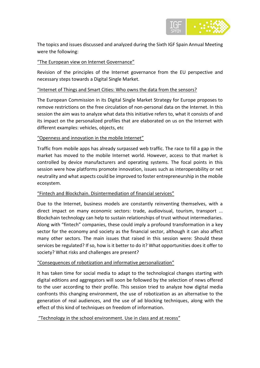

The topics and issues discussed and analyzed during the Sixth IGF Spain Annual Meeting were the following:

## "The European view on Internet Governance"

Revision of the principles of the Internet governance from the EU perspective and necessary steps towards a Digital Single Market.

## "Internet of Things and Smart Cities: Who owns the data from the sensors?

The European Commission in its Digital Single Market Strategy for Europe proposes to remove restrictions on the free circulation of non-personal data on the Internet. In this session the aim was to analyze what data this initiative refers to, what it consists of and its impact on the personalized profiles that are elaborated on us on the Internet with different examples: vehicles, objects, etc

## "Openness and innovation in the mobile Internet"

Traffic from mobile apps has already surpassed web traffic. The race to fill a gap in the market has moved to the mobile Internet world. However, access to that market is controlled by device manufacturers and operating systems. The focal points in this session were how platforms promote innovation, issues such as interoperability or net neutrality and what aspects could be improved to foster entrepreneurship in the mobile ecosystem.

## "Fintech and Blockchain. Disintermediation of financial services"

Due to the Internet, business models are constantly reinventing themselves, with a direct impact on many economic sectors: trade, audiovisual, tourism, transport ... Blockchain technology can help to sustain relationships of trust without intermediaries. Along with "fintech" companies, these could imply a profound transformation in a key sector for the economy and society as the financial sector, although it can also affect many other sectors. The main issues that raised in this session were: Should these services be regulated? If so, how is it better to do it? What opportunities does it offer to society? What risks and challenges are present?

## "Consequences of robotization and informative personalization"

It has taken time for social media to adapt to the technological changes starting with digital editions and aggregators will soon be followed by the selection of news offered to the user according to their profile. This session tried to analyze how digital media confronts this changing environment, the use of robotization as an alternative to the generation of real audiences, and the use of ad blocking techniques, along with the effect of this kind of techniques on freedom of information.

## "Technology in the school environment. Use in class and at recess"